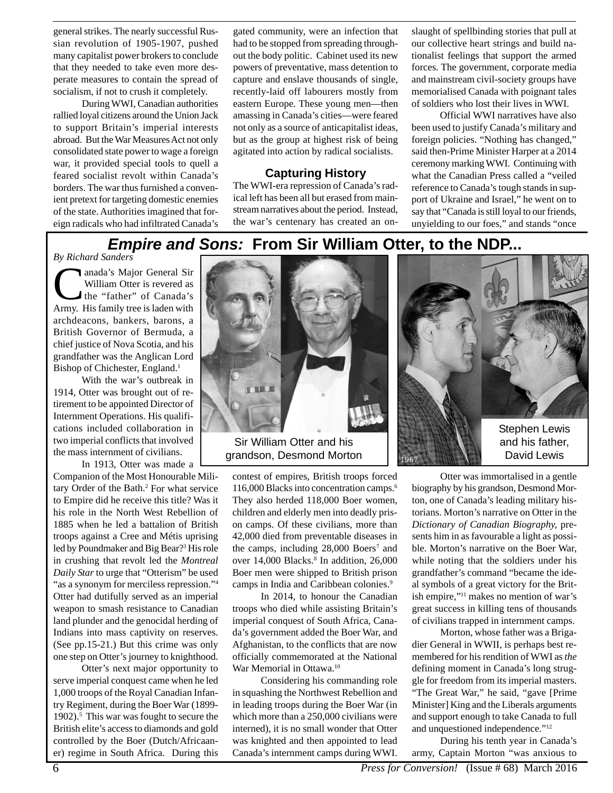general strikes. The nearly successful Russian revolution of 1905-1907, pushed many capitalist power brokers to conclude that they needed to take even more desperate measures to contain the spread of socialism, if not to crush it completely.

During WWI, Canadian authorities rallied loyal citizens around the Union Jack to support Britain's imperial interests abroad. But the War Measures Act not only consolidated state power to wage a foreign war, it provided special tools to quell a feared socialist revolt within Canada's borders. The war thus furnished a convenient pretext for targeting domestic enemies of the state. Authorities imagined that foreign radicals who had infiltrated Canada's

gated community, were an infection that had to be stopped from spreading throughout the body politic. Cabinet used its new powers of preventative, mass detention to capture and enslave thousands of single, recently-laid off labourers mostly from eastern Europe. These young men—then amassing in Canada's cities—were feared not only as a source of anticapitalist ideas, but as the group at highest risk of being agitated into action by radical socialists.

### **Capturing History**

The WWI-era repression of Canada's radical left has been all but erased from mainstream narratives about the period. Instead, the war's centenary has created an onslaught of spellbinding stories that pull at our collective heart strings and build nationalist feelings that support the armed forces. The government, corporate media and mainstream civil-society groups have memorialised Canada with poignant tales of soldiers who lost their lives in WWI.

Official WWI narratives have also been used to justify Canada's military and foreign policies. "Nothing has changed," said then-Prime Minister Harper at a 2014 ceremony marking WWI. Continuing with what the Canadian Press called a "veiled reference to Canada's tough stands in support of Ukraine and Israel," he went on to say that "Canada is still loyal to our friends, unyielding to our foes," and stands "once

# **Empire and Sons: From Sir William Otter, to the NDP...**

#### *By Richard Sanders*

anada's Major General Sir<br>William Otter is revered as<br>the "father" of Canada's<br>Army His family tree is laden with William Otter is revered as the "father" of Canada's Army. His family tree is laden with archdeacons, bankers, barons, a British Governor of Bermuda, a chief justice of Nova Scotia, and his grandfather was the Anglican Lord Bishop of Chichester, England.<sup>1</sup>

With the war's outbreak in 1914, Otter was brought out of retirement to be appointed Director of Internment Operations. His qualifications included collaboration in two imperial conflicts that involved the mass internment of civilians.

In 1913, Otter was made a

Companion of the Most Honourable Military Order of the Bath.<sup>2</sup> For what service to Empire did he receive this title? Was it his role in the North West Rebellion of 1885 when he led a battalion of British troops against a Cree and Métis uprising led by Poundmaker and Big Bear?3 His role in crushing that revolt led the *Montreal Daily Star* to urge that "Otterism" be used "as a synonym for merciless repression."<sup>4</sup> Otter had dutifully served as an imperial weapon to smash resistance to Canadian land plunder and the genocidal herding of Indians into mass captivity on reserves. (See pp.15-21.) But this crime was only one step on Otter's journey to knighthood.

Otter's next major opportunity to serve imperial conquest came when he led 1,000 troops of the Royal Canadian Infantry Regiment, during the Boer War (1899- 1902).<sup>5</sup> This war was fought to secure the British elite's access to diamonds and gold controlled by the Boer (Dutch/Africaaner) regime in South Africa. During this



grandson, Desmond Morton

contest of empires, British troops forced 116,000 Blacks into concentration camps.6 They also herded 118,000 Boer women, children and elderly men into deadly prison camps. Of these civilians, more than 42,000 died from preventable diseases in the camps, including 28,000 Boers<sup>7</sup> and over 14,000 Blacks.<sup>8</sup> In addition, 26,000 Boer men were shipped to British prison camps in India and Caribbean colonies.9

In 2014, to honour the Canadian troops who died while assisting Britain's imperial conquest of South Africa, Canada's government added the Boer War, and Afghanistan, to the conflicts that are now officially commemorated at the National War Memorial in Ottawa.10

Considering his commanding role in squashing the Northwest Rebellion and in leading troops during the Boer War (in which more than a 250,000 civilians were interned), it is no small wonder that Otter was knighted and then appointed to lead Canada's internment camps during WWI.



Otter was immortalised in a gentle biography by his grandson, Desmond Morton, one of Canada's leading military historians. Morton's narrative on Otter in the *Dictionary of Canadian Biography,* presents him in as favourable a light as possible. Morton's narrative on the Boer War, while noting that the soldiers under his grandfather's command "became the ideal symbols of a great victory for the British empire,"11 makes no mention of war's great success in killing tens of thousands of civilians trapped in internment camps.

Morton, whose father was a Brigadier General in WWII, is perhaps best remembered for his rendition of WWI as *the* defining moment in Canada's long struggle for freedom from its imperial masters. "The Great War," he said, "gave [Prime Minister] King and the Liberals arguments and support enough to take Canada to full and unquestioned independence."12

During his tenth year in Canada's army, Captain Morton "was anxious to